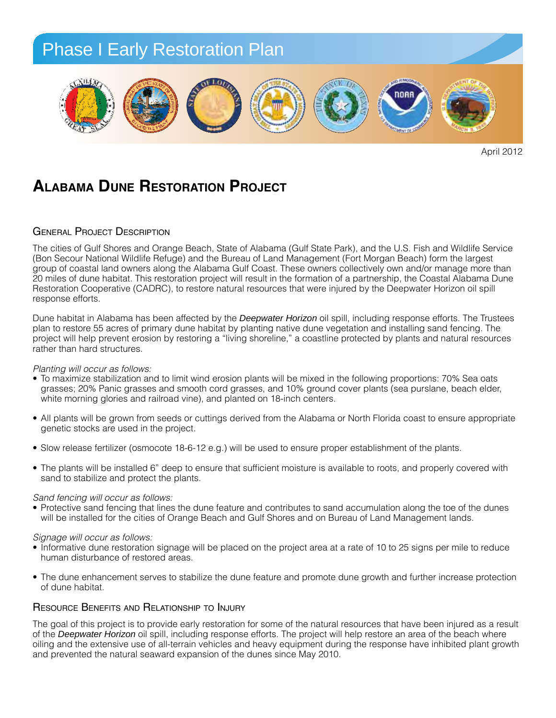

April 2012

# **ALABAMA DUNE RESTORATION PROJECT**

### GENERAL PROJECT DESCRIPTION

The cities of Gulf Shores and Orange Beach, State of Alabama (Gulf State Park), and the U.S. Fish and Wildlife Service (Bon Secour National Wildlife Refuge) and the Bureau of Land Management (Fort Morgan Beach) form the largest group of coastal land owners along the Alabama Gulf Coast. These owners collectively own and/or manage more than group or coastantant owners along the Alabama durr coast. These owners collectively own analon manage more than<br>20 miles of dune habitat. This restoration project will result in the formation of a partnership, the Coastal Restoration Cooperative (CADRC), to restore natural resources that were injured by the Deepwater Horizon oil spill response efforts.  $\mathsf{sparse}$  efforts.

Dune habitat in Alabama has been affected by the *Deepwater Horizon* oil spill, including response efforts. The Trustees plan to restore 55 acres of primary dune habitat by planting native dune vegetation and installing sand fencing. The project will help prevent erosion by restoring a "living shoreline," a coastline protected by plants and natural resources rather than hard structures.

### *Planting will occur as follows:*

- *Planting will occur as tollows:*<br>● To maximize stabilization and to limit wind erosion plants will be mixed in the following proportions: 70% Sea oats no maximize stabilization and to limit wind erosion plants will be mixed in the following proportions. To so dea bats<br>grasses; 20% Panic grasses and smooth cord grasses, and 10% ground cover plants (sea purslane, beach eld white morning glories and railroad vine), and planted on 18-inch centers.
- All plants will be grown from seeds or cuttings derived from the Alabama or North Florida coast to ensure appropriate genetic stocks are used in the project. *Planting:*
- Slow release fertilizer (osmocote 18-6-12 e.g.) will be used to ensure proper establishment of the plants.
- The plants will be installed 6" deep to ensure that sufficient moisture is available to roots, and properly covered with sand to stabilize and protect the plants. from the Alabama coast or North Florida to ensure applants will be installed 6 udeep to ensure that sufficiel<br>I to stobilize and protect the plants limit wind erosion plants will be ble to roots, and properly covered witi

### *Sand fencing will occur as follows:*  $\mathcal{L}_{\mathcal{L}}$  is the slow release fertilizer (osmocote 18-6-12 e.g.) will be the slow release fertilizer (osmocote 18-6-12 e.g.) will be the slow release for the slow release for the slow release for the slow release for

sand rencing will occur as rollows:<br>• Protective sand fencing that lines the dune feature and contributes to sand accumulation along the toe of the dunes will be installed for the cities of Orange Beach and Gulf Shores and on Bureau of Land Management lands. ccumulation along the toe of the dunes

## *Signage will occur as follows:*

- orginage win obcar as rollows.<br>• Informative dune restoration signage will be placed on the project area at a rate of 10 to 25 signs per mile to reduce human disturbance of restored areas. *Sand Fencing:*
- The dune enhancement serves to stabilize the dune feature and promote dune growth and further increase protection of dune habitat.  $\alpha$  accumulation accumulation along the total behavior  $\alpha$  installed for the dunia  $\beta$  installed for the cities of the cities of the cities of the cities of the cities of the cities of the cities of the cities of the c

## Resource Benefits and Relationship to Injury *Signage:* Orange Beach and Gulf Shores and on Bureau of Land Management lands.

The goal of this project is to provide early restoration for some of the natural resources that have been injured as a result in the project is to provide under the project area at a result of the *Deepwater Horizon* oil spill, including response efforts. The project will help restore an area of the beach where of the Deepwater Horizon offspill, including response enorts. The project will help restore an area of the beach where<br>oiling and the extensive use of all-terrain vehicles and heavy equipment during the response have inhib and prevented the natural seaward expansion of the dunes since May 2010.